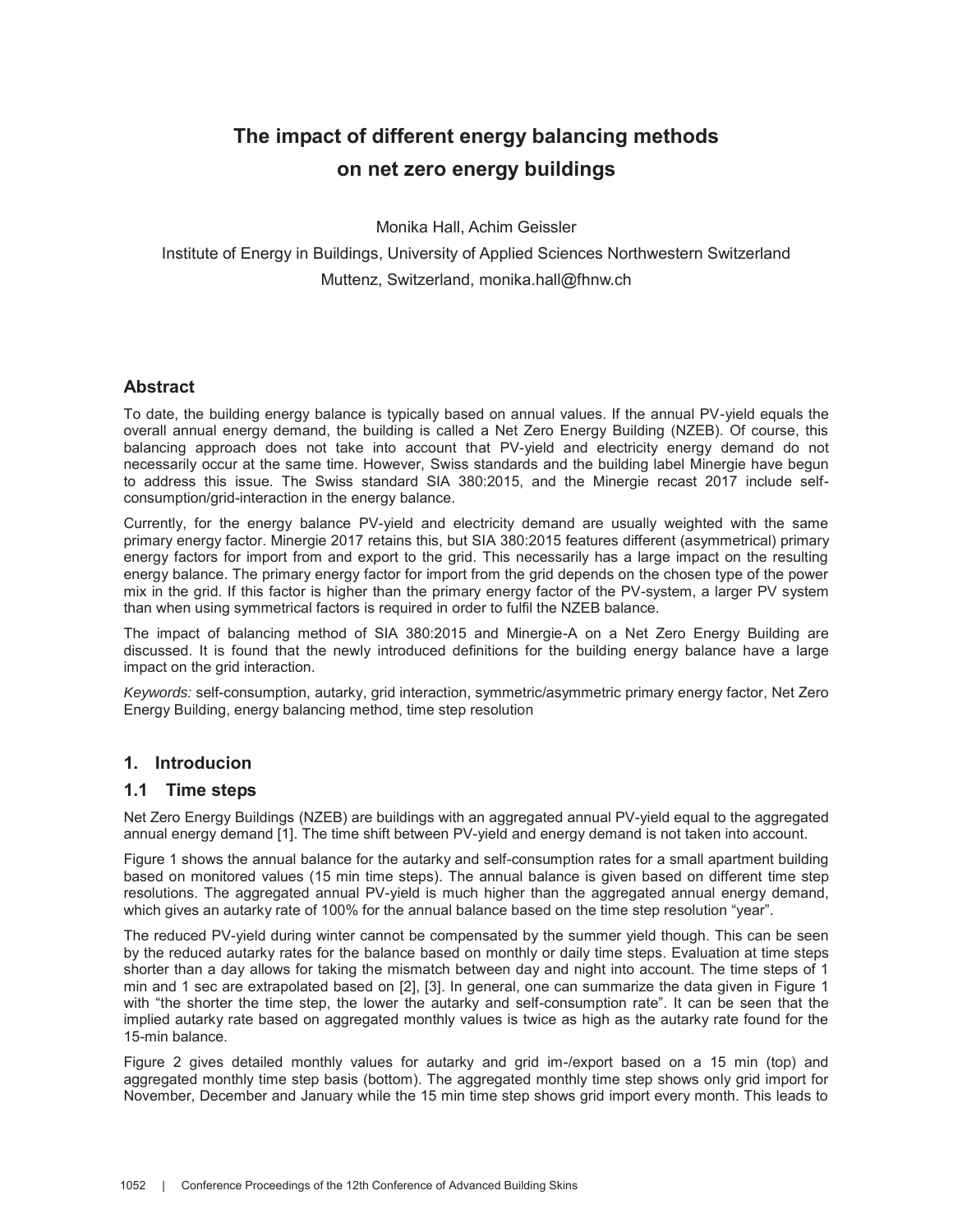# **The impact of different energy balancing methods on net zero energy buildings**

Monika Hall, Achim Geissler

Institute of Energy in Buildings, University of Applied Sciences Northwestern Switzerland Muttenz, Switzerland, monika.hall@fhnw.ch

# **Abstract**

To date, the building energy balance is typically based on annual values. If the annual PV-yield equals the overall annual energy demand, the building is called a Net Zero Energy Building (NZEB). Of course, this balancing approach does not take into account that PV-yield and electricity energy demand do not necessarily occur at the same time. However, Swiss standards and the building label Minergie have begun to address this issue. The Swiss standard SIA 380:2015, and the Minergie recast 2017 include selfconsumption/grid-interaction in the energy balance.

Currently, for the energy balance PV-yield and electricity demand are usually weighted with the same primary energy factor. Minergie 2017 retains this, but SIA 380:2015 features different (asymmetrical) primary energy factors for import from and export to the grid. This necessarily has a large impact on the resulting energy balance. The primary energy factor for import from the grid depends on the chosen type of the power mix in the grid. If this factor is higher than the primary energy factor of the PV-system, a larger PV system than when using symmetrical factors is required in order to fulfil the NZEB balance.

The impact of balancing method of SIA 380:2015 and Minergie-A on a Net Zero Energy Building are discussed. It is found that the newly introduced definitions for the building energy balance have a large impact on the grid interaction.

*Keywords:* self-consumption, autarky, grid interaction, symmetric/asymmetric primary energy factor, Net Zero Energy Building, energy balancing method, time step resolution

# **1. Introducion**

#### **1.1 Time steps**

Net Zero Energy Buildings (NZEB) are buildings with an aggregated annual PV-yield equal to the aggregated annual energy demand [1]. The time shift between PV-yield and energy demand is not taken into account.

Figure 1 shows the annual balance for the autarky and self-consumption rates for a small apartment building based on monitored values (15 min time steps). The annual balance is given based on different time step resolutions. The aggregated annual PV-yield is much higher than the aggregated annual energy demand, which gives an autarky rate of 100% for the annual balance based on the time step resolution "year".

The reduced PV-yield during winter cannot be compensated by the summer yield though. This can be seen by the reduced autarky rates for the balance based on monthly or daily time steps. Evaluation at time steps shorter than a day allows for taking the mismatch between day and night into account. The time steps of 1 min and 1 sec are extrapolated based on [2], [3]. In general, one can summarize the data given in Figure 1 with "the shorter the time step, the lower the autarky and self-consumption rate". It can be seen that the implied autarky rate based on aggregated monthly values is twice as high as the autarky rate found for the 15-min balance.

Figure 2 gives detailed monthly values for autarky and grid im-/export based on a 15 min (top) and aggregated monthly time step basis (bottom). The aggregated monthly time step shows only grid import for November, December and January while the 15 min time step shows grid import every month. This leads to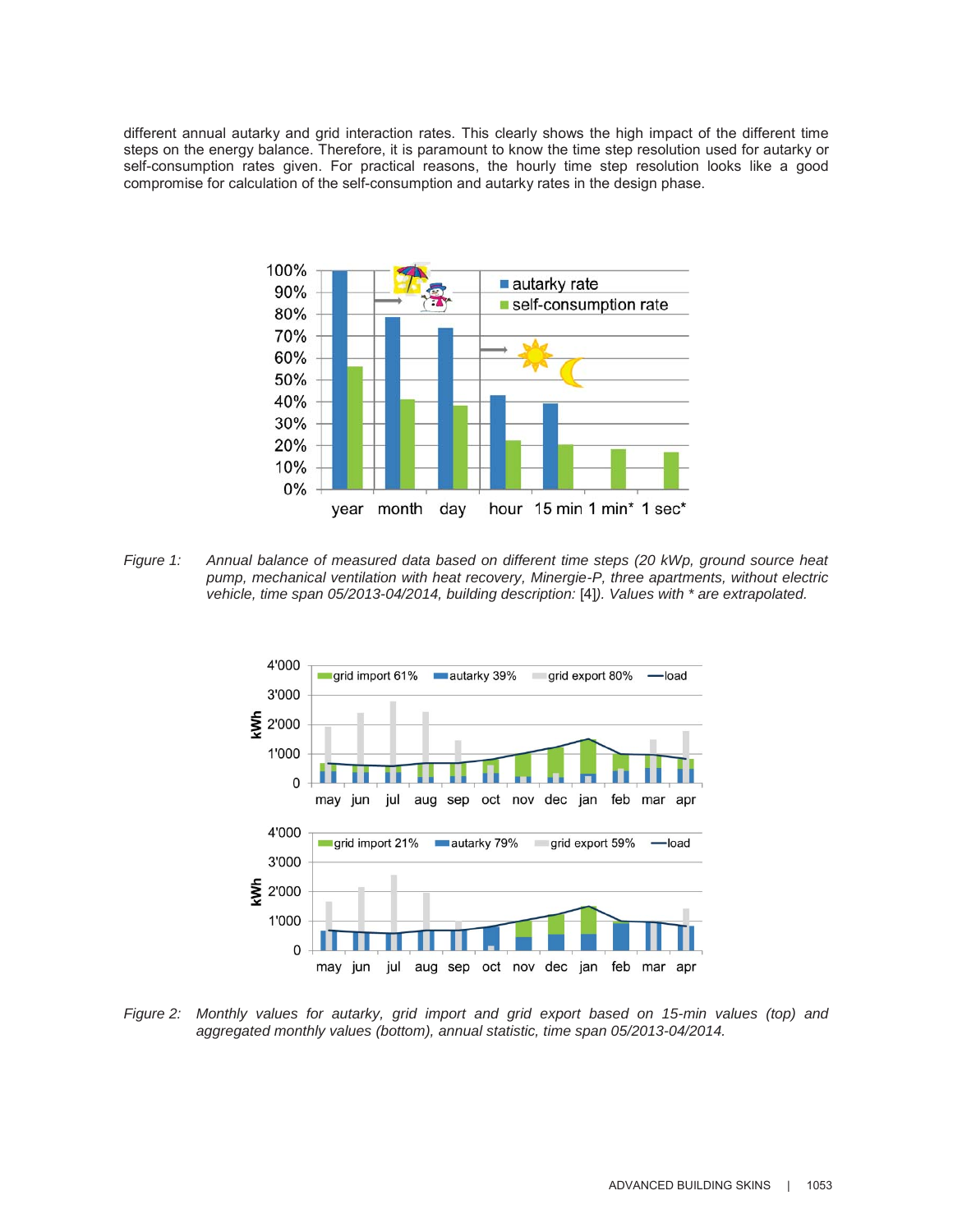different annual autarky and grid interaction rates. This clearly shows the high impact of the different time steps on the energy balance. Therefore, it is paramount to know the time step resolution used for autarky or self-consumption rates given. For practical reasons, the hourly time step resolution looks like a good compromise for calculation of the self-consumption and autarky rates in the design phase.



*Figure 1: Annual balance of measured data based on different time steps (20 kWp, ground source heat pump, mechanical ventilation with heat recovery, Minergie-P, three apartments, without electric vehicle, time span 05/2013-04/2014, building description:* [4]*). Values with \* are extrapolated.* 



*Figure 2: Monthly values for autarky, grid import and grid export based on 15-min values (top) and aggregated monthly values (bottom), annual statistic, time span 05/2013-04/2014.*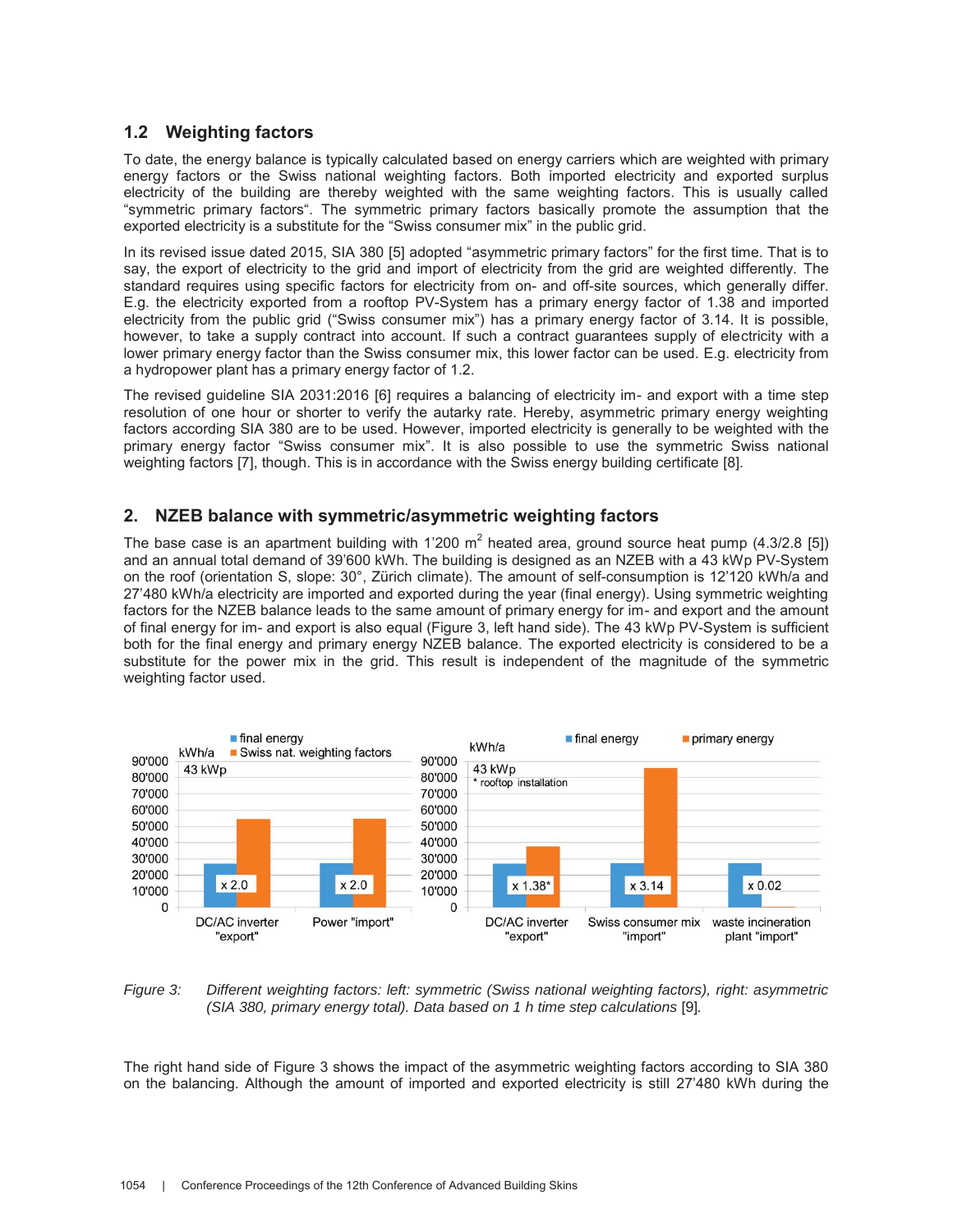# **1.2 Weighting factors**

To date, the energy balance is typically calculated based on energy carriers which are weighted with primary energy factors or the Swiss national weighting factors. Both imported electricity and exported surplus electricity of the building are thereby weighted with the same weighting factors. This is usually called "symmetric primary factors". The symmetric primary factors basically promote the assumption that the exported electricity is a substitute for the "Swiss consumer mix" in the public grid.

In its revised issue dated 2015, SIA 380 [5] adopted "asymmetric primary factors" for the first time. That is to say, the export of electricity to the grid and import of electricity from the grid are weighted differently. The standard requires using specific factors for electricity from on- and off-site sources, which generally differ. E.g. the electricity exported from a rooftop PV-System has a primary energy factor of 1.38 and imported electricity from the public grid ("Swiss consumer mix") has a primary energy factor of 3.14. It is possible, however, to take a supply contract into account. If such a contract guarantees supply of electricity with a lower primary energy factor than the Swiss consumer mix, this lower factor can be used. E.g. electricity from a hydropower plant has a primary energy factor of 1.2.

The revised guideline SIA 2031:2016 [6] requires a balancing of electricity im- and export with a time step resolution of one hour or shorter to verify the autarky rate. Hereby, asymmetric primary energy weighting factors according SIA 380 are to be used. However, imported electricity is generally to be weighted with the primary energy factor "Swiss consumer mix". It is also possible to use the symmetric Swiss national weighting factors [7], though. This is in accordance with the Swiss energy building certificate [8].

## **2. NZEB balance with symmetric/asymmetric weighting factors**

The base case is an apartment building with 1'200 m<sup>2</sup> heated area, ground source heat pump (4.3/2.8 [5]) and an annual total demand of 39'600 kWh. The building is designed as an NZEB with a 43 kWp PV-System on the roof (orientation S, slope: 30°, Zürich climate). The amount of self-consumption is 12'120 kWh/a and 27'480 kWh/a electricity are imported and exported during the year (final energy). Using symmetric weighting factors for the NZEB balance leads to the same amount of primary energy for im- and export and the amount of final energy for im- and export is also equal (Figure 3, left hand side). The 43 kWp PV-System is sufficient both for the final energy and primary energy NZEB balance. The exported electricity is considered to be a substitute for the power mix in the grid. This result is independent of the magnitude of the symmetric weighting factor used.



*Figure 3: Different weighting factors: left: symmetric (Swiss national weighting factors), right: asymmetric (SIA 380, primary energy total). Data based on 1 h time step calculations [9].* 

The right hand side of Figure 3 shows the impact of the asymmetric weighting factors according to SIA 380 on the balancing. Although the amount of imported and exported electricity is still 27'480 kWh during the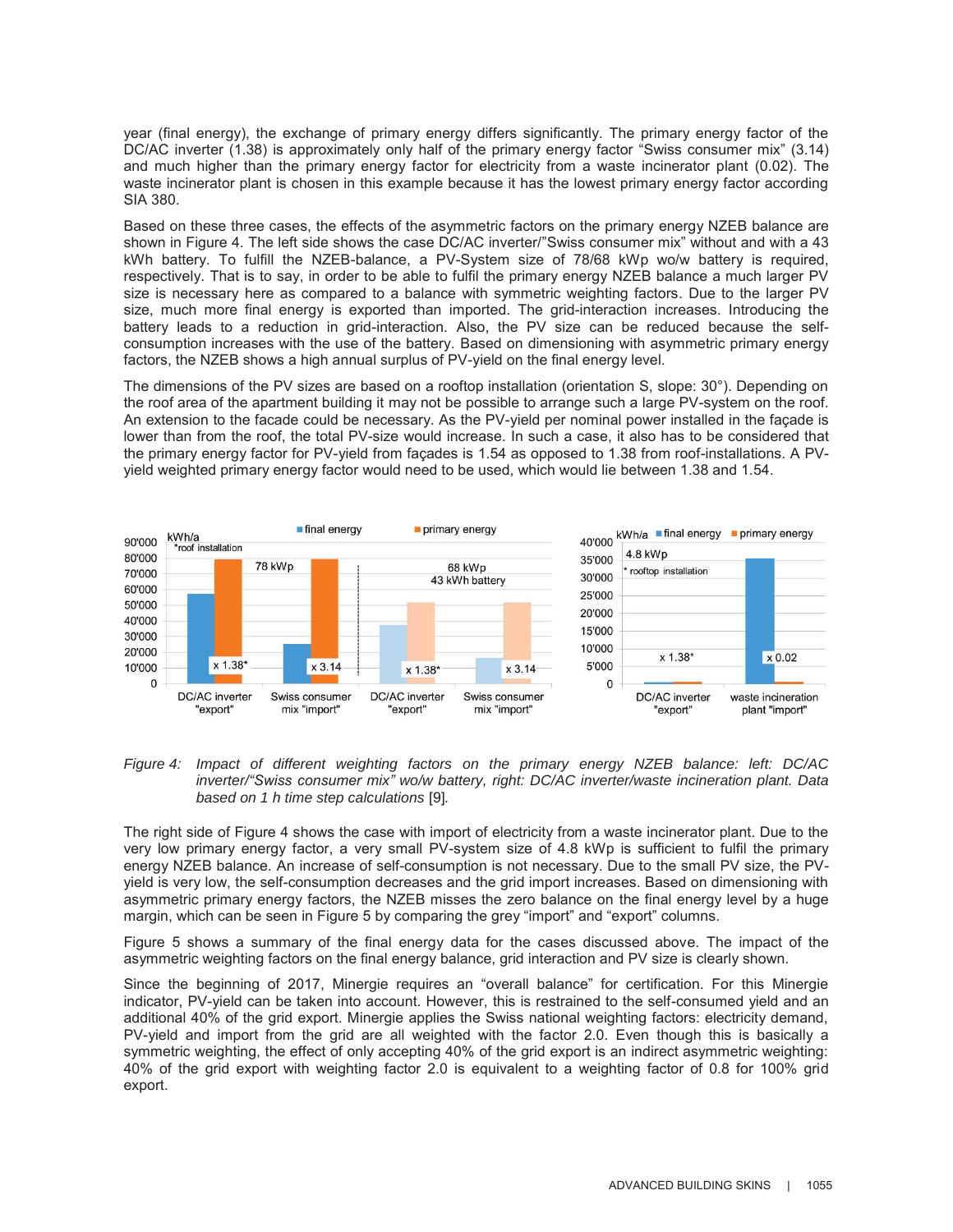year (final energy), the exchange of primary energy differs significantly. The primary energy factor of the DC/AC inverter (1.38) is approximately only half of the primary energy factor "Swiss consumer mix" (3.14) and much higher than the primary energy factor for electricity from a waste incinerator plant (0.02). The waste incinerator plant is chosen in this example because it has the lowest primary energy factor according SIA 380.

Based on these three cases, the effects of the asymmetric factors on the primary energy NZEB balance are shown in Figure 4. The left side shows the case DC/AC inverter/"Swiss consumer mix" without and with a 43 kWh battery. To fulfill the NZEB-balance, a PV-System size of 78/68 kWp wo/w battery is required, respectively. That is to say, in order to be able to fulfil the primary energy NZEB balance a much larger PV size is necessary here as compared to a balance with symmetric weighting factors. Due to the larger PV size, much more final energy is exported than imported. The grid-interaction increases. Introducing the battery leads to a reduction in grid-interaction. Also, the PV size can be reduced because the selfconsumption increases with the use of the battery. Based on dimensioning with asymmetric primary energy factors, the NZEB shows a high annual surplus of PV-yield on the final energy level.

The dimensions of the PV sizes are based on a rooftop installation (orientation S, slope: 30°). Depending on the roof area of the apartment building it may not be possible to arrange such a large PV-system on the roof. An extension to the facade could be necessary. As the PV-yield per nominal power installed in the façade is lower than from the roof, the total PV-size would increase. In such a case, it also has to be considered that the primary energy factor for PV-yield from façades is 1.54 as opposed to 1.38 from roof-installations. A PVyield weighted primary energy factor would need to be used, which would lie between 1.38 and 1.54.





The right side of Figure 4 shows the case with import of electricity from a waste incinerator plant. Due to the very low primary energy factor, a very small PV-system size of 4.8 kWp is sufficient to fulfil the primary energy NZEB balance. An increase of self-consumption is not necessary. Due to the small PV size, the PVyield is very low, the self-consumption decreases and the grid import increases. Based on dimensioning with asymmetric primary energy factors, the NZEB misses the zero balance on the final energy level by a huge margin, which can be seen in Figure 5 by comparing the grey "import" and "export" columns.

Figure 5 shows a summary of the final energy data for the cases discussed above. The impact of the asymmetric weighting factors on the final energy balance, grid interaction and PV size is clearly shown.

Since the beginning of 2017, Minergie requires an "overall balance" for certification. For this Minergie indicator, PV-yield can be taken into account. However, this is restrained to the self-consumed yield and an additional 40% of the grid export. Minergie applies the Swiss national weighting factors: electricity demand, PV-yield and import from the grid are all weighted with the factor 2.0. Even though this is basically a symmetric weighting, the effect of only accepting 40% of the grid export is an indirect asymmetric weighting: 40% of the grid export with weighting factor 2.0 is equivalent to a weighting factor of 0.8 for 100% grid export.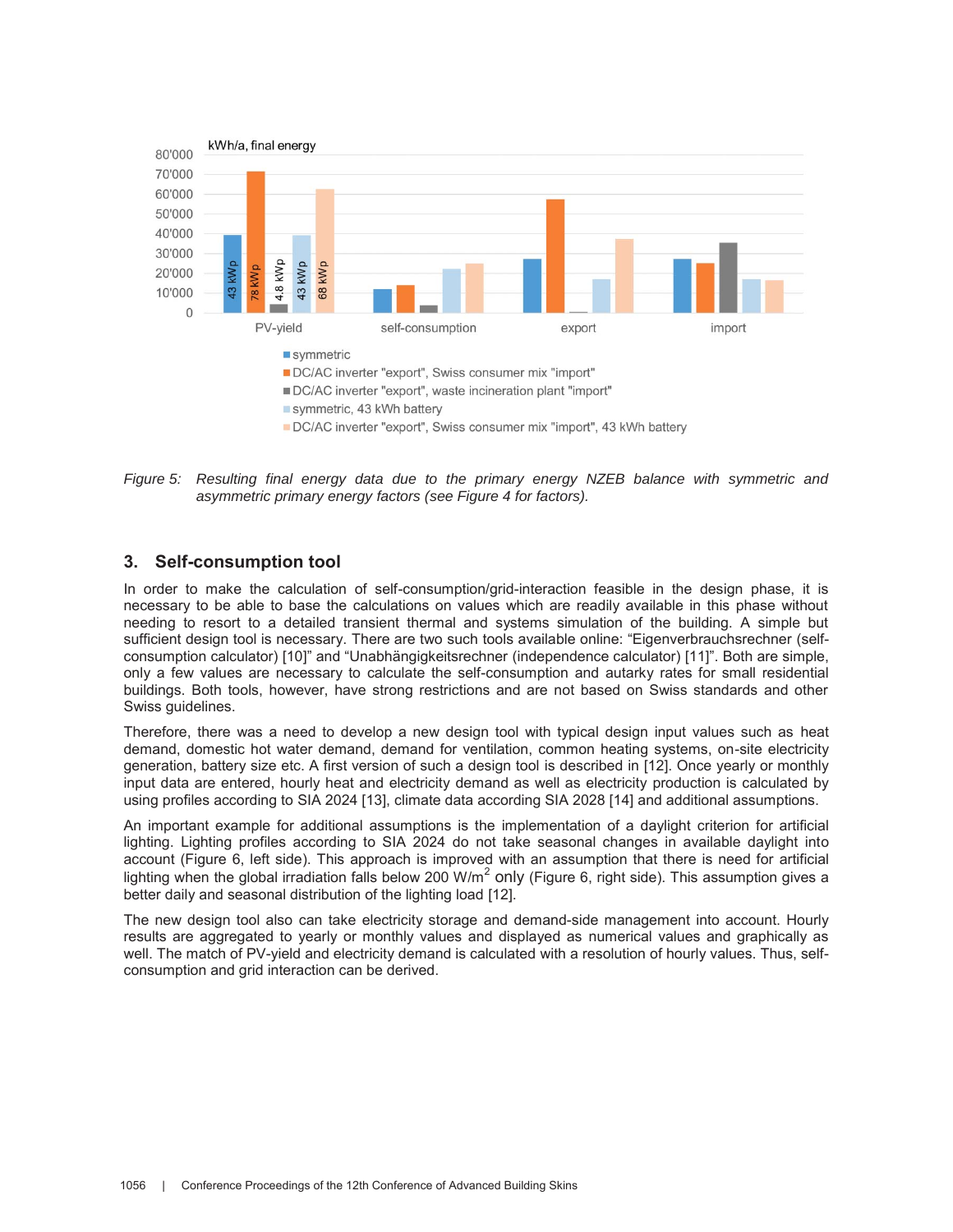

*Figure 5: Resulting final energy data due to the primary energy NZEB balance with symmetric and asymmetric primary energy factors (see Figure 4 for factors).*

## **3. Self-consumption tool**

In order to make the calculation of self-consumption/grid-interaction feasible in the design phase, it is necessary to be able to base the calculations on values which are readily available in this phase without needing to resort to a detailed transient thermal and systems simulation of the building. A simple but sufficient design tool is necessary. There are two such tools available online: "Eigenverbrauchsrechner (selfconsumption calculator) [10]" and "Unabhängigkeitsrechner (independence calculator) [11]". Both are simple, only a few values are necessary to calculate the self-consumption and autarky rates for small residential buildings. Both tools, however, have strong restrictions and are not based on Swiss standards and other Swiss guidelines.

Therefore, there was a need to develop a new design tool with typical design input values such as heat demand, domestic hot water demand, demand for ventilation, common heating systems, on-site electricity generation, battery size etc. A first version of such a design tool is described in [12]. Once yearly or monthly input data are entered, hourly heat and electricity demand as well as electricity production is calculated by using profiles according to SIA 2024 [13], climate data according SIA 2028 [14] and additional assumptions.

An important example for additional assumptions is the implementation of a daylight criterion for artificial lighting. Lighting profiles according to SIA 2024 do not take seasonal changes in available daylight into account (Figure 6, left side). This approach is improved with an assumption that there is need for artificial lighting when the global irradiation falls below 200 W/m<sup>2</sup> only (Figure 6, right side). This assumption gives a better daily and seasonal distribution of the lighting load [12].

The new design tool also can take electricity storage and demand-side management into account. Hourly results are aggregated to yearly or monthly values and displayed as numerical values and graphically as well. The match of PV-yield and electricity demand is calculated with a resolution of hourly values. Thus, selfconsumption and grid interaction can be derived.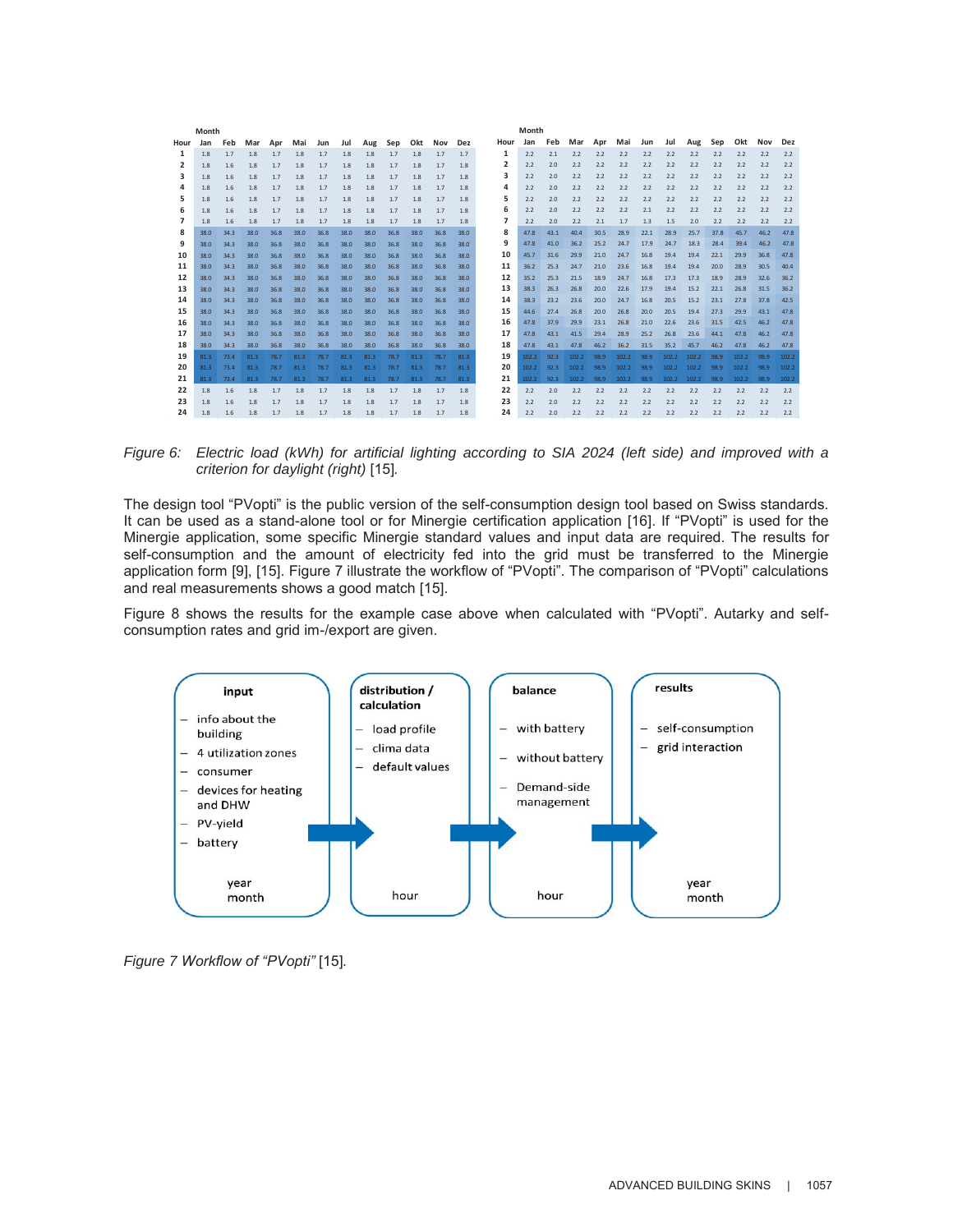| Month |      |      |      | Month |      |      |      |      |      |      |      |      |      |       |      |       |      |       |      |       |       |      |       |      |       |
|-------|------|------|------|-------|------|------|------|------|------|------|------|------|------|-------|------|-------|------|-------|------|-------|-------|------|-------|------|-------|
| Hour  | Jan  | Feb  | Mar  | Apr   | Mai  | Jun  | Jul  | Aug  | Sep  | Okt  | Nov  | Dez  | Hour | Jan   | Feb  | Mar   | Apr  | Mai   | Jun  | Jul   | Aug   | Sep  | Okt   | Nov  | Dez   |
| 1     | 1.8  | 1.7  | 1.8  | 1.7   | 1.8  | 1.7  | 1.8  | 1.8  | 1.7  | 1.8  | 1.7  | 1.7  | 1    | 2.2   | 2.1  | 2.2   | 2.2  | 2.2   | 2.2  | 2.2   | 2.2   | 2.2  | 2.2   | 2.2  | 2.2   |
| 2     | 1.8  | 1.6  | 1.8  | 1.7   | 1.8  | 1.7  | 1.8  | 1.8  | 1.7  | 1.8  | 1.7  | 1.8  | 2    | 2.2   | 2.0  | 2.2   | 2.2  | 2.2   | 2.2  | 2.2   | 2.2   | 2.2  | 2.2   | 2.2  | 2.2   |
| з     | 1.8  | 1.6  | 1.8  | 1.7   | 1.8  | 1.7  | 1.8  | 1.8  | 1.7  | 1.8  | 1.7  | 1.8  | 3    | 2.2   | 2.0  | 2.2   | 2.2  | 2.2   | 2.2  | 2.2   | 2.2   | 2.2  | 2.2   | 2.2  | 2.2   |
| 4     | 1.8  | 1.6  | 1.8  | 1.7   | 1.8  | 1.7  | 1.8  | 1.8  | 1.7  | 1.8  | 1.7  | 1.8  | Δ    | 2.2   | 2.0  | 2.2   | 2.2  | 2.2   | 2.2  | 2.2   | 2.2   | 2.2  | 2.2   | 2.2  | 2.2   |
| 5     | 1.8  | 1.6  | 1.8  | 1.7   | 1.8  | 1.7  | 1.8  | 1.8  | 1.7  | 1.8  | 1.7  | 1.8  | 5    | 2.2   | 2.0  | 2.2   | 2.2  | 2.2   | 2.2  | 2.2   | 2.2   | 2.2  | 2.2   | 2.2  | 2.2   |
| 6     | 1.8  | 1.6  | 1.8  | 1.7   | 1.8  | 1.7  | 1.8  | 1.8  | 1.7  | 1.8  | 1.7  | 1.8  | 6    | 2.2   | 2.0  | 2.2   | 2.2  | 2.2   | 2.1  | 2.2   | 2.2   | 2.2  | 2.2   | 2.2  | 2.2   |
|       | 1.8  | 1.6  | 1.8  | 1.7   | 1.8  | 1.7  | 1.8  | 1.8  | 1.7  | 1.8  | 1.7  | 1.8  | 7    | 2.2   | 2.0  | 2.2   | 2.1  | 1.7   | 1.3  | 1.5   | 2.0   | 2.2  | 2.2   | 2.2  | 2.2   |
| 8     | 38.0 | 34.3 | 38.0 | 36.8  | 38.0 | 36.8 | 38.0 | 38.0 | 36.8 | 38.0 | 36.8 | 38.0 | 8    | 47.8  | 43.1 | 40.4  | 30.5 | 28.9  | 22.1 | 28.9  | 25.7  | 37.8 | 45.7  | 46.2 | 47.8  |
| 9     | 38.0 | 34.3 | 38.0 | 36.8  | 38.0 | 36.8 | 38.0 | 38.0 | 36.8 | 38.0 | 36.8 | 38.0 | 9    | 47.8  | 41.0 | 36.2  | 25.2 | 24.7  | 17.9 | 24.7  | 18.3  | 28.4 | 39.4  | 46.2 | 47.8  |
| 10    | 38.0 | 34.3 | 38.0 | 36.8  | 38.0 | 36.8 | 38.0 | 38.0 | 36.8 | 38.0 | 36.8 | 38.0 | 10   | 45.7  | 31.6 | 29.9  | 21.0 | 24.7  | 16.8 | 19.4  | 19.4  | 22.1 | 29.9  | 36.8 | 47.8  |
| 11    | 38.0 | 34.3 | 38.0 | 36.8  | 38.0 | 36.8 | 38.0 | 38.0 | 36.8 | 38.0 | 36.8 | 38.0 | 11   | 36.2  | 25.3 | 24.7  | 21.0 | 23.6  | 16.8 | 19.4  | 19.4  | 20.0 | 28.9  | 30.5 | 40.4  |
| 12    | 38.0 | 34.3 | 38.0 | 36.8  | 38.0 | 36.8 | 38.0 | 38.0 | 36.8 | 38.0 | 36.8 | 38.0 | 12   | 35.2  | 25.3 | 21.5  | 18.9 | 24.7  | 16.8 | 17.3  | 17.3  | 18.9 | 28.9  | 32.6 | 36.2  |
| 13    | 38.0 | 34.3 | 38.0 | 36.8  | 38.0 | 36.8 | 38.0 | 38.0 | 36.8 | 38.0 | 36.8 | 38.0 | 13   | 38.3  | 26.3 | 26.8  | 20.0 | 22.6  | 17.9 | 19.4  | 15.2  | 22.1 | 26.8  | 31.5 | 36.2  |
| 14    | 38.0 | 34.3 | 38.0 | 36.8  | 38.0 | 36.8 | 38.0 | 38.0 | 36.8 | 38.0 | 36.8 | 38.0 | 14   | 38.3  | 23.2 | 23.6  | 20.0 | 24.7  | 16.8 | 20.5  | 15.2  | 23.1 | 27.8  | 37.8 | 42.5  |
| 15    | 38.0 | 34.3 | 38.0 | 36.8  | 38.0 | 36.8 | 38.0 | 38.0 | 36.8 | 38.0 | 36.8 | 38.0 | 15   | 44.6  | 27.4 | 26.8  | 20.0 | 26.8  | 20.0 | 20.5  | 19.4  | 27.3 | 29.9  | 43.1 | 47.8  |
| 16    | 38.0 | 34.3 | 38.0 | 36.8  | 38.0 | 36.8 | 38.0 | 38.0 | 36.8 | 38.0 | 36.8 | 38.0 | 16   | 47.8  | 37.9 | 29.9  | 23.1 | 26.8  | 21.0 | 22.6  | 23.6  | 31.5 | 42.5  | 46.2 | 47.8  |
| 17    | 38.0 | 34.3 | 38.0 | 36.8  | 38.0 | 36.8 | 38.0 | 38.0 | 36.8 | 38.0 | 36.8 | 38.0 | 17   | 47.8  | 43.1 | 41.5  | 29.4 | 28.9  | 25.2 | 26.8  | 23.6  | 44.1 | 47.8  | 46.2 | 47.8  |
| 18    | 38.0 | 34.3 | 38.0 | 36.8  | 38.0 | 36.8 | 38.0 | 38.0 | 36.8 | 38.0 | 36.8 | 38.0 | 18   | 47.8  | 43.1 | 47.8  | 46.2 | 36.2  | 31.5 | 35.2  | 45.7  | 46.2 | 47.8  | 46.2 | 47.8  |
| 19    | 81.3 | 73.4 | 81.3 | 78.7  | 81.3 | 78.7 | 81.3 | 81.3 | 78.7 | 81.3 | 78.7 | 81.3 | 19   | 102.2 | 92.3 | 102.2 | 98.9 | 102.2 | 98.9 | 102.2 | 102.2 | 98.9 | 102.2 | 98.9 | 102.2 |
| 20    | 81.3 | 73.4 | 81.3 | 78.7  | 81.3 | 78.7 | 81.3 | 81.3 | 78.7 | 81.3 | 78.7 | 81.3 | 20   | 102.2 | 92.3 | 102.2 | 98.9 | 102.2 | 98.9 | 102.2 | 102.2 | 98.9 | 102.2 | 98.9 | 102.2 |
| 21    | 81.3 | 73.4 | 81.3 | 78.7  | 81.3 | 78.7 | 81.3 | 81.3 | 78.7 | 81.3 | 78.7 | 81.3 | 21   | 102.2 | 92.3 | 102.2 | 98.9 | 102.2 | 98.9 | 102.2 | 102.2 | 98.9 | 102.2 | 98.9 | 102.2 |
| 22    | 1.8  | 1.6  | 1.8  | 1.7   | 1.8  | 1.7  | 1.8  | 1.8  | 1.7  | 1.8  | 1.7  | 1.8  | 22   | 2.2   | 2.0  | 2.2   | 2.2  | 2.2   | 2.2  | 2.2   | 2.2   | 2.2  | 2.2   | 2.2  | 2.2   |
| 23    | 1.8  | 1.6  | 1.8  | 1.7   | 1.8  | 1.7  | 1.8  | 1.8  | 1.7  | 1.8  | 1.7  | 1.8  | 23   | 2.2   | 2.0  | 2.2   | 2.2  | 2.2   | 2.2  | 2.2   | 2.2   | 2.2  | 2.2   | 2.2  | 2.2   |
| 24    | 1.8  | 1.6  | 1.8  | 1.7   | 1.8  | 1.7  | 1.8  | 1.8  | 1.7  | 1.8  | 1.7  | 1.8  | 24   | 2.2   | 2.0  | 2.2   | 2.2  | 2.2   | 2.2  | 2.2   | 2.2   | 2.2  | 2.2   | 2.2  | 2.2   |

*Figure 6: Electric load (kWh) for artificial lighting according to SIA 2024 (left side) and improved with a criterion for daylight (right)* [15]*.* 

The design tool "PVopti" is the public version of the self-consumption design tool based on Swiss standards. It can be used as a stand-alone tool or for Minergie certification application [16]. If "PVopti" is used for the Minergie application, some specific Minergie standard values and input data are required. The results for self-consumption and the amount of electricity fed into the grid must be transferred to the Minergie application form [9], [15]. Figure 7 illustrate the workflow of "PVopti". The comparison of "PVopti" calculations and real measurements shows a good match [15].

Figure 8 shows the results for the example case above when calculated with "PVopti". Autarky and selfconsumption rates and grid im-/export are given.



*Figure 7 Workflow of "PVopti"* [15]*.*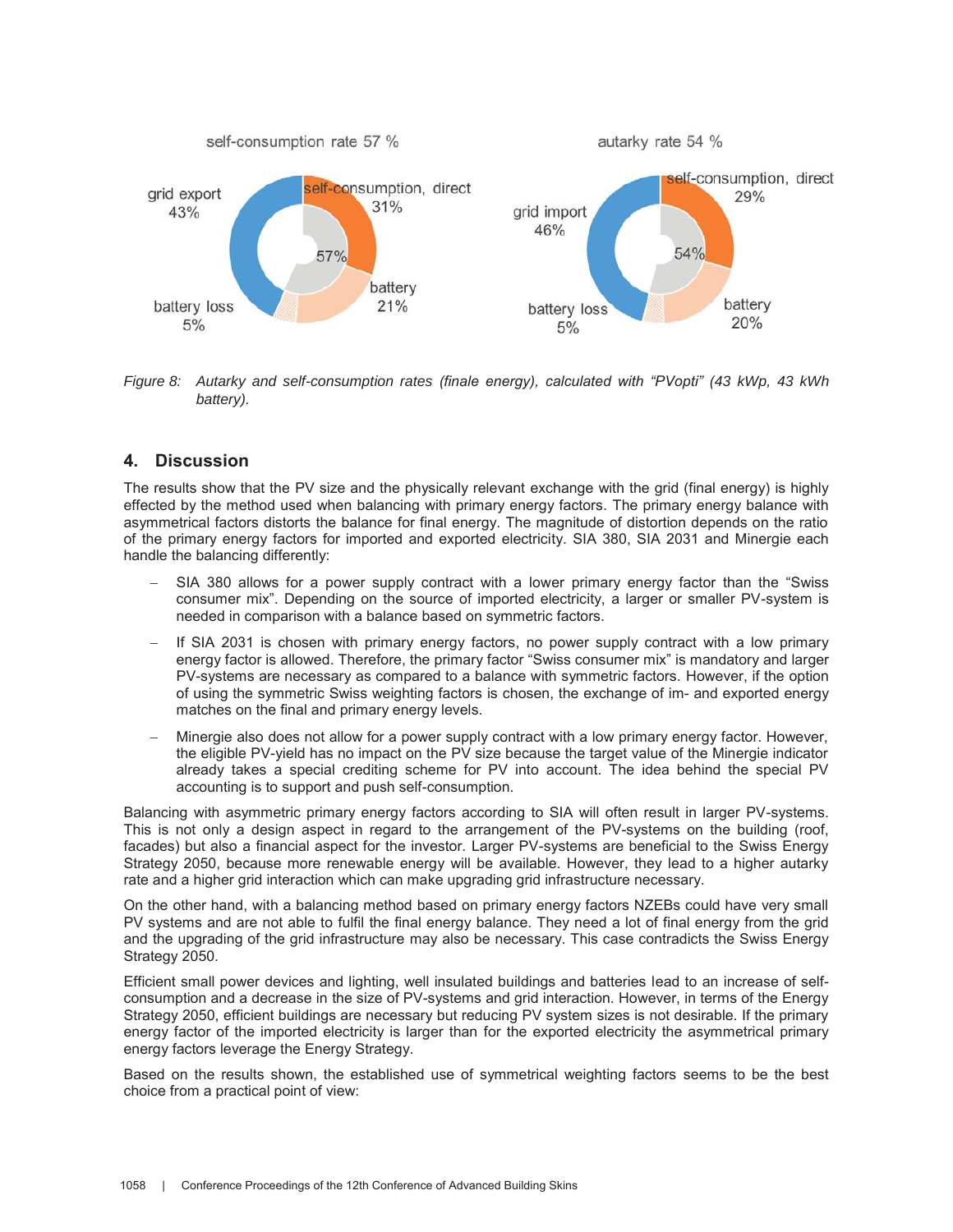

*Figure 8: Autarky and self-consumption rates (finale energy), calculated with "PVopti" (43 kWp, 43 kWh battery).* 

# **4. Discussion**

The results show that the PV size and the physically relevant exchange with the grid (final energy) is highly effected by the method used when balancing with primary energy factors. The primary energy balance with asymmetrical factors distorts the balance for final energy. The magnitude of distortion depends on the ratio of the primary energy factors for imported and exported electricity. SIA 380, SIA 2031 and Minergie each handle the balancing differently:

- SIA 380 allows for a power supply contract with a lower primary energy factor than the "Swiss consumer mix". Depending on the source of imported electricity, a larger or smaller PV-system is needed in comparison with a balance based on symmetric factors.
- If SIA 2031 is chosen with primary energy factors, no power supply contract with a low primary energy factor is allowed. Therefore, the primary factor "Swiss consumer mix" is mandatory and larger PV-systems are necessary as compared to a balance with symmetric factors. However, if the option of using the symmetric Swiss weighting factors is chosen, the exchange of im- and exported energy matches on the final and primary energy levels.
- Minergie also does not allow for a power supply contract with a low primary energy factor. However, the eligible PV-yield has no impact on the PV size because the target value of the Minergie indicator already takes a special crediting scheme for PV into account. The idea behind the special PV accounting is to support and push self-consumption.

Balancing with asymmetric primary energy factors according to SIA will often result in larger PV-systems. This is not only a design aspect in regard to the arrangement of the PV-systems on the building (roof, facades) but also a financial aspect for the investor. Larger PV-systems are beneficial to the Swiss Energy Strategy 2050, because more renewable energy will be available. However, they lead to a higher autarky rate and a higher grid interaction which can make upgrading grid infrastructure necessary.

On the other hand, with a balancing method based on primary energy factors NZEBs could have very small PV systems and are not able to fulfil the final energy balance. They need a lot of final energy from the grid and the upgrading of the grid infrastructure may also be necessary. This case contradicts the Swiss Energy Strategy 2050.

Efficient small power devices and lighting, well insulated buildings and batteries lead to an increase of selfconsumption and a decrease in the size of PV-systems and grid interaction. However, in terms of the Energy Strategy 2050, efficient buildings are necessary but reducing PV system sizes is not desirable. If the primary energy factor of the imported electricity is larger than for the exported electricity the asymmetrical primary energy factors leverage the Energy Strategy.

Based on the results shown, the established use of symmetrical weighting factors seems to be the best choice from a practical point of view: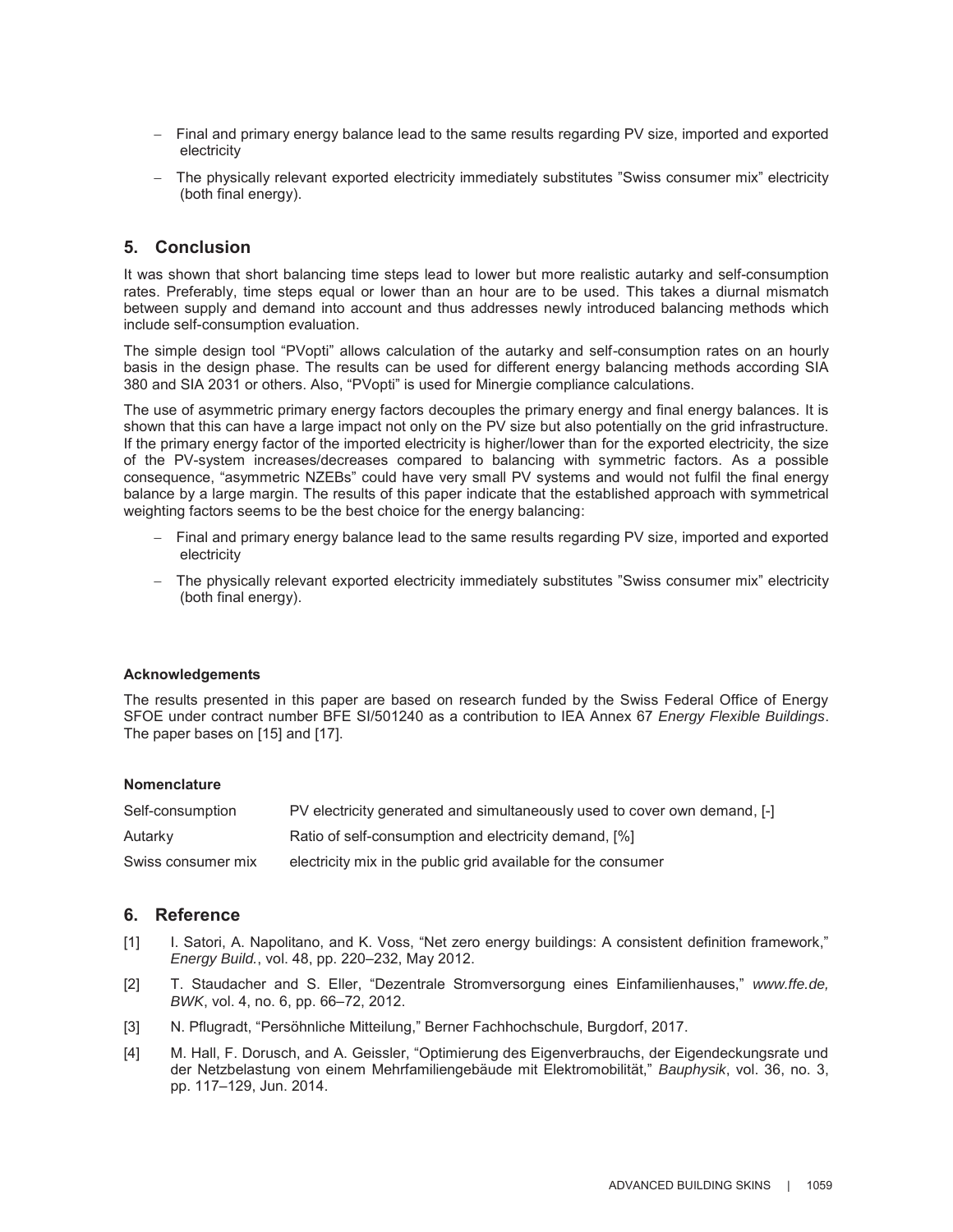- Final and primary energy balance lead to the same results regarding PV size, imported and exported electricity
- The physically relevant exported electricity immediately substitutes "Swiss consumer mix" electricity (both final energy).

# **5. Conclusion**

It was shown that short balancing time steps lead to lower but more realistic autarky and self-consumption rates. Preferably, time steps equal or lower than an hour are to be used. This takes a diurnal mismatch between supply and demand into account and thus addresses newly introduced balancing methods which include self-consumption evaluation.

The simple design tool "PVopti" allows calculation of the autarky and self-consumption rates on an hourly basis in the design phase. The results can be used for different energy balancing methods according SIA 380 and SIA 2031 or others. Also, "PVopti" is used for Minergie compliance calculations.

The use of asymmetric primary energy factors decouples the primary energy and final energy balances. It is shown that this can have a large impact not only on the PV size but also potentially on the grid infrastructure. If the primary energy factor of the imported electricity is higher/lower than for the exported electricity, the size of the PV-system increases/decreases compared to balancing with symmetric factors. As a possible consequence, "asymmetric NZEBs" could have very small PV systems and would not fulfil the final energy balance by a large margin. The results of this paper indicate that the established approach with symmetrical weighting factors seems to be the best choice for the energy balancing:

- Final and primary energy balance lead to the same results regarding PV size, imported and exported electricity
- The physically relevant exported electricity immediately substitutes "Swiss consumer mix" electricity (both final energy).

#### **Acknowledgements**

The results presented in this paper are based on research funded by the Swiss Federal Office of Energy SFOE under contract number BFE SI/501240 as a contribution to IEA Annex 67 *Energy Flexible Buildings*. The paper bases on [15] and [17].

#### **Nomenclature**

| Self-consumption   | PV electricity generated and simultaneously used to cover own demand, [-] |
|--------------------|---------------------------------------------------------------------------|
| Autarky            | Ratio of self-consumption and electricity demand, [%]                     |
| Swiss consumer mix | electricity mix in the public grid available for the consumer             |

# **6. Reference**

- [1] I. Satori, A. Napolitano, and K. Voss, "Net zero energy buildings: A consistent definition framework," *Energy Build.*, vol. 48, pp. 220–232, May 2012.
- [2] T. Staudacher and S. Eller, "Dezentrale Stromversorgung eines Einfamilienhauses," *www.ffe.de, BWK*, vol. 4, no. 6, pp. 66–72, 2012.
- [3] N. Pflugradt, "Persöhnliche Mitteilung," Berner Fachhochschule, Burgdorf, 2017.
- [4] M. Hall, F. Dorusch, and A. Geissler, "Optimierung des Eigenverbrauchs, der Eigendeckungsrate und der Netzbelastung von einem Mehrfamiliengebäude mit Elektromobilität," *Bauphysik*, vol. 36, no. 3, pp. 117–129, Jun. 2014.